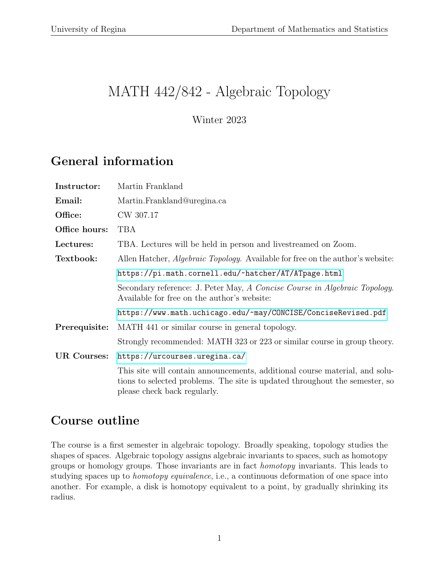# MATH 442/842 - Algebraic Topology

Winter 2023

### General information

| Instructor:        | Martin Frankland                                                                                                                                                                           |
|--------------------|--------------------------------------------------------------------------------------------------------------------------------------------------------------------------------------------|
| Email:             | Martin.Frankland@uregina.ca                                                                                                                                                                |
| Office:            | CW 307.17                                                                                                                                                                                  |
| Office hours:      | <b>TBA</b>                                                                                                                                                                                 |
| Lectures:          | TBA. Lectures will be held in person and livestreamed on Zoom.                                                                                                                             |
| Textbook:          | Allen Hatcher, <i>Algebraic Topology</i> . Available for free on the author's website:                                                                                                     |
|                    | https://pi.math.cornell.edu/~hatcher/AT/ATpage.html                                                                                                                                        |
|                    | Secondary reference: J. Peter May, A Concise Course in Algebraic Topology.<br>Available for free on the author's website:                                                                  |
|                    | https://www.math.uchicago.edu/~may/CONCISE/ConciseRevised.pdf                                                                                                                              |
| Prerequisite:      | MATH 441 or similar course in general topology.                                                                                                                                            |
|                    | Strongly recommended: MATH 323 or 223 or similar course in group theory.                                                                                                                   |
| <b>UR Courses:</b> | https://urcourses.uregina.ca/                                                                                                                                                              |
|                    | This site will contain announcements, additional course material, and solu-<br>tions to selected problems. The site is updated throughout the semester, so<br>please check back regularly. |

### Course outline

The course is a first semester in algebraic topology. Broadly speaking, topology studies the shapes of spaces. Algebraic topology assigns algebraic invariants to spaces, such as homotopy groups or homology groups. Those invariants are in fact homotopy invariants. This leads to studying spaces up to homotopy equivalence, i.e., a continuous deformation of one space into another. For example, a disk is homotopy equivalent to a point, by gradually shrinking its radius.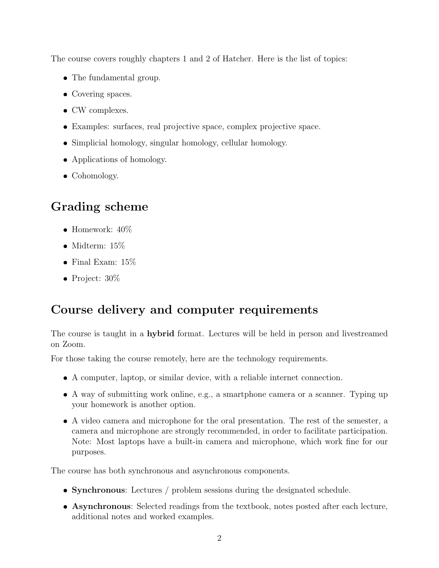The course covers roughly chapters 1 and 2 of Hatcher. Here is the list of topics:

- The fundamental group.
- Covering spaces.
- CW complexes.
- Examples: surfaces, real projective space, complex projective space.
- Simplicial homology, singular homology, cellular homology.
- Applications of homology.
- Cohomology.

#### Grading scheme

- Homework:  $40\%$
- $\bullet$ Midterm: 15%
- $\bullet$  Final Exam:  $15\%$
- Project:  $30\%$

#### Course delivery and computer requirements

The course is taught in a hybrid format. Lectures will be held in person and livestreamed on Zoom.

For those taking the course remotely, here are the technology requirements.

- A computer, laptop, or similar device, with a reliable internet connection.
- A way of submitting work online, e.g., a smartphone camera or a scanner. Typing up your homework is another option.
- A video camera and microphone for the oral presentation. The rest of the semester, a camera and microphone are strongly recommended, in order to facilitate participation. Note: Most laptops have a built-in camera and microphone, which work fine for our purposes.

The course has both synchronous and asynchronous components.

- Synchronous: Lectures / problem sessions during the designated schedule.
- Asynchronous: Selected readings from the textbook, notes posted after each lecture, additional notes and worked examples.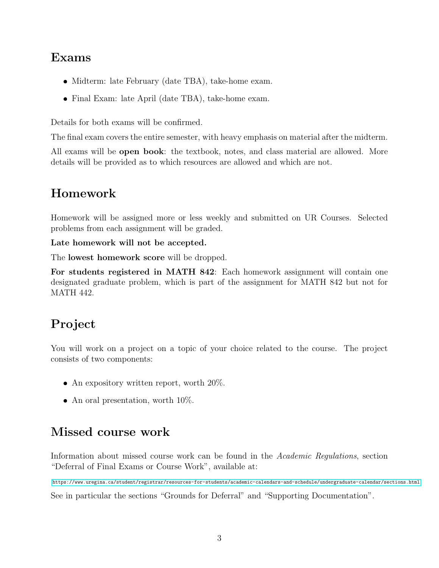#### Exams

- Midterm: late February (date TBA), take-home exam.
- Final Exam: late April (date TBA), take-home exam.

Details for both exams will be confirmed.

The final exam covers the entire semester, with heavy emphasis on material after the midterm.

All exams will be **open book**: the textbook, notes, and class material are allowed. More details will be provided as to which resources are allowed and which are not.

# Homework

Homework will be assigned more or less weekly and submitted on UR Courses. Selected problems from each assignment will be graded.

Late homework will not be accepted.

The lowest homework score will be dropped.

For students registered in MATH 842: Each homework assignment will contain one designated graduate problem, which is part of the assignment for MATH 842 but not for MATH 442.

## Project

You will work on a project on a topic of your choice related to the course. The project consists of two components:

- An expository written report, worth 20%.
- An oral presentation, worth  $10\%$ .

### Missed course work

Information about missed course work can be found in the Academic Regulations, section "Deferral of Final Exams or Course Work", available at:

<https://www.uregina.ca/student/registrar/resources-for-students/academic-calendars-and-schedule/undergraduate-calendar/sections.html> See in particular the sections "Grounds for Deferral" and "Supporting Documentation".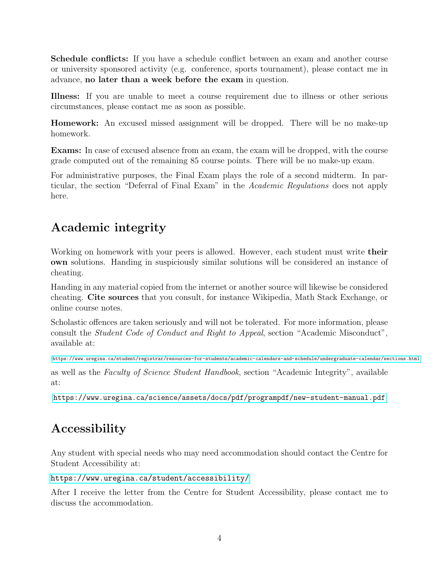Schedule conflicts: If you have a schedule conflict between an exam and another course or university sponsored activity (e.g. conference, sports tournament), please contact me in advance, no later than a week before the exam in question.

Illness: If you are unable to meet a course requirement due to illness or other serious circumstances, please contact me as soon as possible.

Homework: An excused missed assignment will be dropped. There will be no make-up homework.

Exams: In case of excused absence from an exam, the exam will be dropped, with the course grade computed out of the remaining 85 course points. There will be no make-up exam.

For administrative purposes, the Final Exam plays the role of a second midterm. In particular, the section "Deferral of Final Exam" in the Academic Regulations does not apply here.

#### Academic integrity

Working on homework with your peers is allowed. However, each student must write their own solutions. Handing in suspiciously similar solutions will be considered an instance of cheating.

Handing in any material copied from the internet or another source will likewise be considered cheating. Cite sources that you consult, for instance Wikipedia, Math Stack Exchange, or online course notes.

Scholastic offences are taken seriously and will not be tolerated. For more information, please consult the Student Code of Conduct and Right to Appeal, section "Academic Misconduct", available at:

<https://www.uregina.ca/student/registrar/resources-for-students/academic-calendars-and-schedule/undergraduate-calendar/sections.html>

as well as the Faculty of Science Student Handbook, section "Academic Integrity", available at:

<https://www.uregina.ca/science/assets/docs/pdf/programpdf/new-student-manual.pdf>

#### Accessibility

Any student with special needs who may need accommodation should contact the Centre for Student Accessibility at:

#### <https://www.uregina.ca/student/accessibility/>

After I receive the letter from the Centre for Student Accessibility, please contact me to discuss the accommodation.